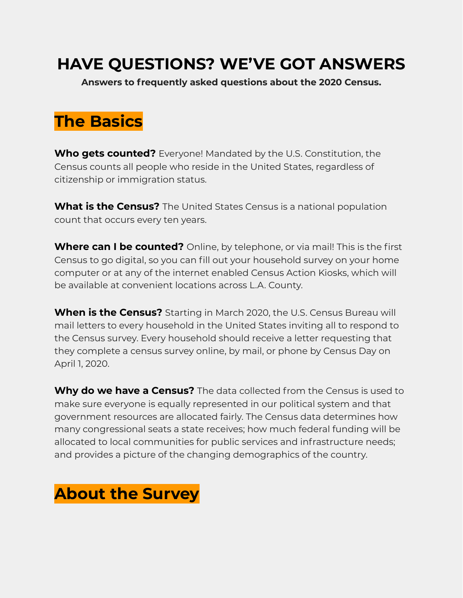### **HAVE QUESTIONS? WE'VE GOT ANSWERS**

**Answers to frequently asked questions about the 2020 Census.**

# **The Basics**

**Who gets counted?** Everyone! Mandated by the U.S. Constitution, the Census counts all people who reside in the United States, regardless of citizenship or immigration status.

**What is the Census?** The United States Census is a national population count that occurs every ten years.

**Where can I be counted?** Online, by telephone, or via mail! This is the first Census to go digital, so you can fill out your household survey on your home computer or at any of the internet enabled Census Action Kiosks, which will be available at convenient locations across L.A. County.

**When is the Census?** Starting in March 2020, the U.S. Census Bureau will mail letters to every household in the United States inviting all to respond to the Census survey. Every household should receive a letter requesting that they complete a census survey online, by mail, or phone by Census Day on April 1, 2020.

**Why do we have a Census?** The data collected from the Census is used to make sure everyone is equally represented in our political system and that government resources are allocated fairly. The Census data determines how many congressional seats a state receives; how much federal funding will be allocated to local communities for public services and infrastructure needs; and provides a picture of the changing demographics of the country.

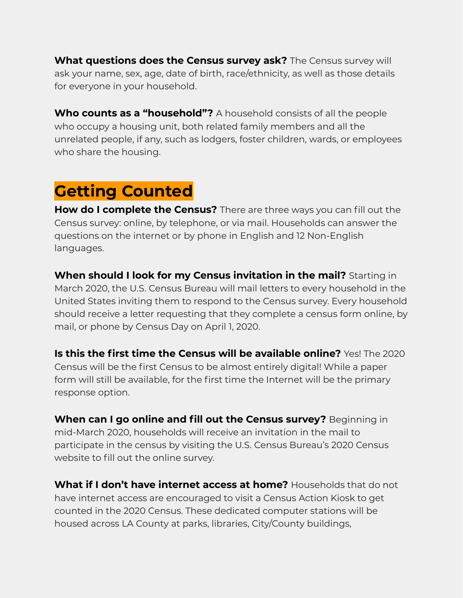**What questions does the Census survey ask?** The Census survey will ask your name, sex, age, date of birth, race/ethnicity, as well as those details for everyone in your household.

**Who counts as a "household"?** A household consists of all the people who occupy a housing unit, both related family members and all the unrelated people, if any, such as lodgers, foster children, wards, or employees who share the housing.

## **Getting Counted**

**How do I complete the Census?** There are three ways you can fill out the Census survey: online, by telephone, or via mail. Households can answer the questions on the internet or by phone in English and 12 Non-English languages.

**When should I look for my Census invitation in the mail?** Starting in March 2020, the U.S. Census Bureau will mail letters to every household in the United States inviting them to respond to the Census survey. Every household should receive a letter requesting that they complete a census form online, by mail, or phone by Census Day on April 1, 2020.

**Is this the first time the Census will be available online?** Yes! The 2020 Census will be the first Census to be almost entirely digital! While a paper form will still be available, for the first time the Internet will be the primary response option.

**When can I go online and fill out the Census survey?** Beginning in mid-March 2020, households will receive an invitation in the mail to participate in the census by visiting the U.S. Census Bureau's 2020 Census website to fill out the online survey.

**What if I don't have internet access at home?** Households that do not have internet access are encouraged to visit a Census Action Kiosk to get counted in the 2020 Census. These dedicated computer stations will be housed across LA County at parks, libraries, City/County buildings,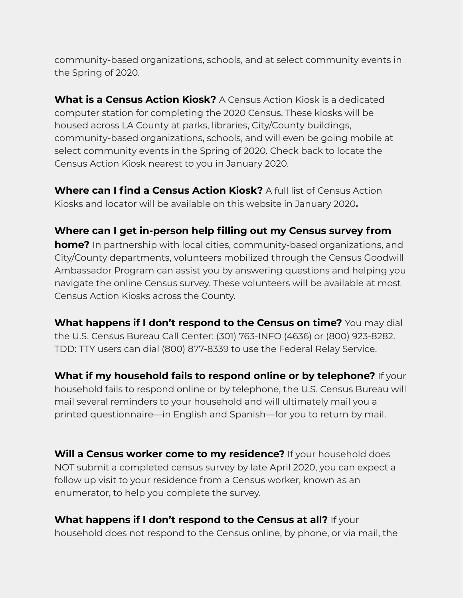community-based organizations, schools, and at select community events in the Spring of 2020.

**What is a Census Action Kiosk?** A Census Action Kiosk is a dedicated computer station for completing the 2020 Census. These kiosks will be housed across LA County at parks, libraries, City/County buildings, community-based organizations, schools, and will even be going mobile at select community events in the Spring of 2020. Check back to locate the Census Action Kiosk nearest to you in January 2020.

**Where can I find a Census Action Kiosk?** A full list of Census Action Kiosks and locator will be available on this website in January 2020**.**

**Where can I get in-person help filling out my Census survey from home?** In partnership with local cities, community-based organizations, and City/County departments, volunteers mobilized through the Census Goodwill Ambassador Program can assist you by answering questions and helping you navigate the online Census survey. These volunteers will be available at most Census Action Kiosks across the County.

**What happens if I don't respond to the Census on time?** You may dial the U.S. Census Bureau Call Center: (301) 763-INFO (4636) or (800) 923-8282. TDD: TTY users can dial (800) 877-8339 to use the Federal Relay Service.

**What if my household fails to respond online or by telephone?** If your household fails to respond online or by telephone, the U.S. Census Bureau will mail several reminders to your household and will ultimately mail you a printed questionnaire—in English and Spanish—for you to return by mail.

**Will a Census worker come to my residence?** If your household does NOT submit a completed census survey by late April 2020, you can expect a follow up visit to your residence from a Census worker, known as an enumerator, to help you complete the survey.

**What happens if I don't respond to the Census at all?** If your household does not respond to the Census online, by phone, or via mail, the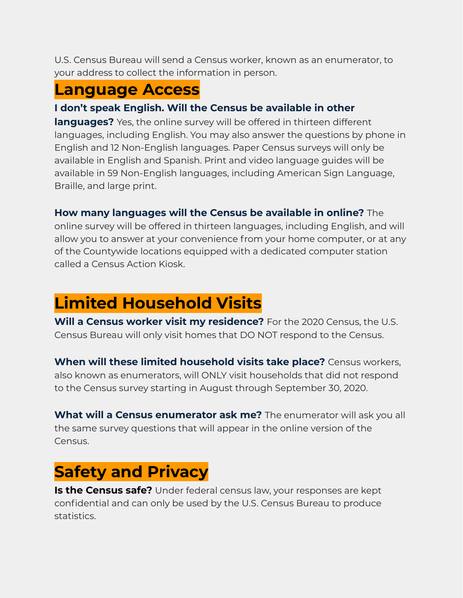U.S. Census Bureau will send a Census worker, known as an enumerator, to your address to collect the information in person.

### **Language Access**

### **I don't speak English. Will the Census be available in other**

**languages?** Yes, the online survey will be offered in thirteen different languages, including English. You may also answer the questions by phone in English and 12 Non-English languages. Paper Census surveys will only be available in English and Spanish. Print and video language guides will be available in 59 Non-English languages, including American Sign Language, Braille, and large print.

**How many languages will the Census be available in online?** The online survey will be offered in thirteen languages, including English, and will allow you to answer at your convenience from your home computer, or at any of the Countywide locations equipped with a dedicated computer station called a Census Action Kiosk.

# **Limited Household Visits**

**Will a Census worker visit my residence?** For the 2020 Census, the U.S. Census Bureau will only visit homes that DO NOT respond to the Census.

**When will these limited household visits take place?** Census workers, also known as enumerators, will ONLY visit households that did not respond to the Census survey starting in August through September 30, 2020.

**What will a Census enumerator ask me?** The enumerator will ask you all the same survey questions that will appear in the online version of the Census.

# **Safety and Privacy**

**Is the Census safe?** Under federal census law, your responses are kept confidential and can only be used by the U.S. Census Bureau to produce statistics.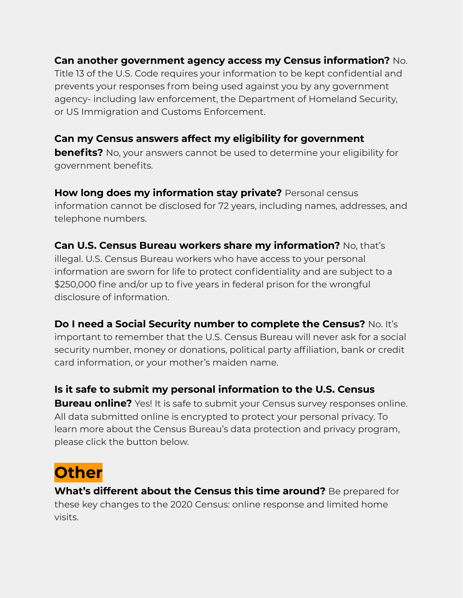#### **Can another government agency access my Census information?** No.

Title 13 of the U.S. Code requires your information to be kept confidential and prevents your responses from being used against you by any government agency- including law enforcement, the Department of Homeland Security, or US Immigration and Customs Enforcement.

#### **Can my Census answers affect my eligibility for government**

**benefits?** No, your answers cannot be used to determine your eligibility for government benefits.

**How long does my information stay private?** Personal census information cannot be disclosed for 72 years, including names, addresses, and telephone numbers.

#### **Can U.S. Census Bureau workers share my information?** No, that's

illegal. U.S. Census Bureau workers who have access to your personal information are sworn for life to protect confidentiality and are subject to a \$250,000 fine and/or up to five years in federal prison for the wrongful disclosure of information.

**Do I need a Social Security number to complete the Census?** No. It's important to remember that the U.S. Census Bureau will never ask for a social security number, money or donations, political party affiliation, bank or credit card information, or your mother's maiden name.

**Is it safe to submit my personal information to the U.S. Census Bureau online?** Yes! It is safe to submit your Census survey responses online. All data submitted online is encrypted to protect your personal privacy. To learn more about the Census Bureau's data protection and privacy program,

## **Other**

please click the button below.

**What's different about the Census this time around?** Be prepared for these key changes to the 2020 Census: online response and limited home visits.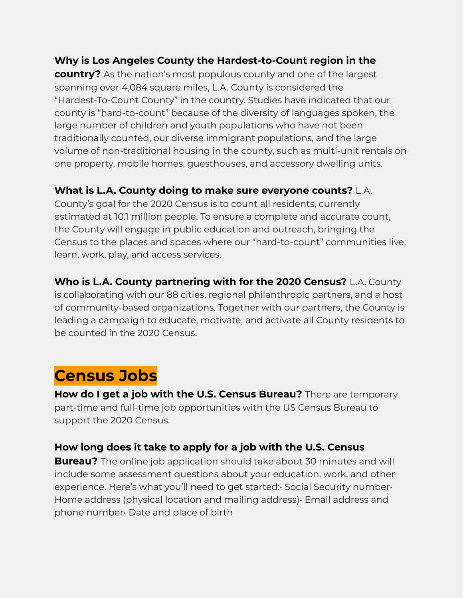#### **Why is Los Angeles County the Hardest-to-Count region in the**

**country?** As the nation's most populous county and one of the largest spanning over 4,084 square miles, L.A. County is considered the "Hardest-To-Count County" in the country. Studies have indicated that our county is "hard-to-count" because of the diversity of languages spoken, the large number of children and youth populations who have not been traditionally counted, our diverse immigrant populations, and the large volume of non-traditional housing in the county, such as multi-unit rentals on one property, mobile homes, guesthouses, and accessory dwelling units.

#### **What is L.A. County doing to make sure everyone counts?** L.A.

County's goal for the 2020 Census is to count all residents, currently estimated at 10.1 million people. To ensure a complete and accurate count, the County will engage in public education and outreach, bringing the Census to the places and spaces where our "hard-to-count" communities live, learn, work, play, and access services.

**Who is L.A. County partnering with for the 2020 Census?** L.A. County is collaborating with our 88 cities, regional philanthropic partners, and a host of community-based organizations. Together with our partners, the County is leading a campaign to educate, motivate, and activate all County residents to be counted in the 2020 Census.

### **Census Jobs**

**How do I get a job with the U.S. Census Bureau?** There are temporary part-time and full-time job opportunities with the US Census Bureau to support the 2020 Census.

#### **How long does it take to apply for a job with the U.S. Census**

**Bureau?** The online job application should take about 30 minutes and will include some assessment questions about your education, work, and other experience. Here's what you'll need to get started: Social Security number of Home address (physical location and mailing address)• Email address and phone number• Date and place of birth